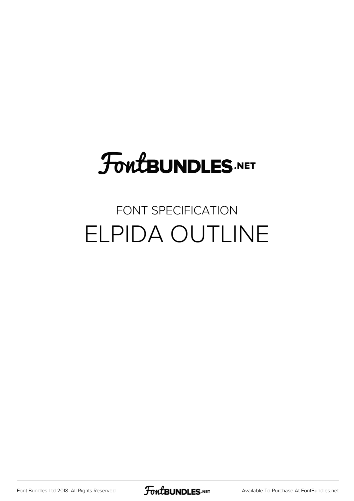# FoutBUNDLES.NET

## FONT SPECIFICATION ELPIDA OUTLINE

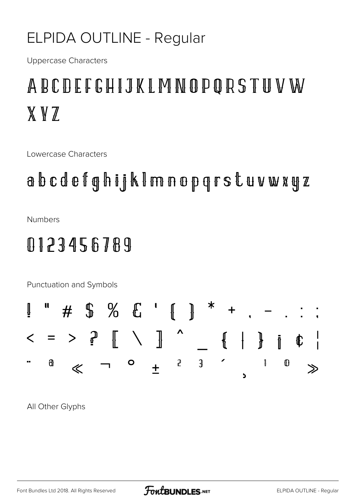#### ELPIDA OUTLINE - Regular

**Uppercase Characters** 

# ABCDEFGHIJKLMNOPORSTUVW XVZ

Lowercase Characters

abcdefghijk Imnopgrstuvwxyz

**Numbers** 

### 0123456789

Punctuation and Symbols



All Other Glyphs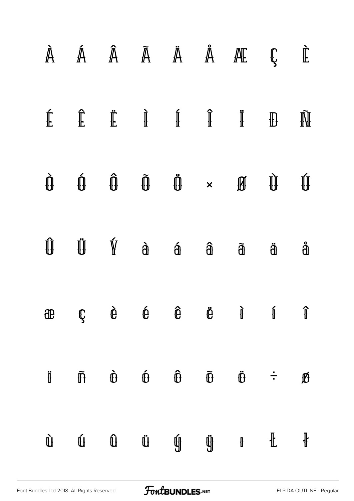|                     |                      |                                                                    |                                                         |                         |                 | $\mathbb{A}$ $\mathbb{A}$ $\mathbb{A}$ $\mathbb{A}$ $\mathbb{A}$ $\mathbb{A}$ $\mathbb{A}$ $\mathbb{A}$ $\mathbb{C}$                                                                                                                                                                                                                                                                                                             |              | $\mathbf{\tilde{E}}$ |
|---------------------|----------------------|--------------------------------------------------------------------|---------------------------------------------------------|-------------------------|-----------------|----------------------------------------------------------------------------------------------------------------------------------------------------------------------------------------------------------------------------------------------------------------------------------------------------------------------------------------------------------------------------------------------------------------------------------|--------------|----------------------|
|                     |                      |                                                                    |                                                         |                         |                 |                                                                                                                                                                                                                                                                                                                                                                                                                                  |              | Ñ                    |
|                     |                      |                                                                    |                                                         |                         |                 | $\begin{matrix} \mathbf{0} & \mathbf{0} & \mathbf{0} & \mathbf{0} & \mathbf{0} & \mathbf{0} & \times & \mathbf{0} \end{matrix}$                                                                                                                                                                                                                                                                                                  | $\mathbf{u}$ | Ú                    |
| $\hat{\mathbb{U}}$  |                      | $\dot{\mathbb{U}}$ $\dot{\mathbb{Y}}$ $\dot{a}$ $\dot{a}$          |                                                         |                         |                 | $\widehat{a}$ $\widehat{a}$                                                                                                                                                                                                                                                                                                                                                                                                      | $\ddot{a}$   | å                    |
| æ                   |                      |                                                                    |                                                         |                         |                 | $\begin{array}{ccccccccccccccccc}\n\mathbb{C} & \mathbb{C} & \mathbb{C} & \mathbb{C} & \mathbb{C} & \mathbb{C} & \mathbb{C} & \mathbb{C}\n\end{array} \qquad \begin{array}{ccccccccccccccccc}\n\mathbb{C} & \mathbb{C} & \mathbb{C} & \mathbb{C} & \mathbb{C}\n\end{array} \qquad \begin{array}{ccccccccccccccccc}\n\mathbb{C} & \mathbb{C} & \mathbb{C} & \mathbb{C} & \mathbb{C}\n\end{array}$                                 |              | $\mathbf{\hat{l}}$   |
| $\ddot{\textbf{J}}$ | $\tilde{\mathbb{n}}$ |                                                                    | $\begin{matrix}\n\mathbf{0} & \mathbf{0}\n\end{matrix}$ | $\mathbf{\hat{\theta}}$ | $\widetilde{D}$ | $\ddot{\mathbb{O}} \qquad \ddot{\div}$                                                                                                                                                                                                                                                                                                                                                                                           |              | $\mathbf{D}$         |
| $\mathbf{\hat{U}}$  |                      | $\begin{matrix} \mathbf{U} & \mathbf{U} & \mathbf{U} \end{matrix}$ |                                                         |                         |                 | $\begin{matrix} \mathbb{Q} & \mathbb{Q} & \mathbb{Q} & \mathbb{Q} & \mathbb{Q} & \mathbb{Q} & \mathbb{Q} & \mathbb{Q} & \mathbb{Q} & \mathbb{Q} & \mathbb{Q} & \mathbb{Q} & \mathbb{Q} & \mathbb{Q} & \mathbb{Q} & \mathbb{Q} & \mathbb{Q} & \mathbb{Q} & \mathbb{Q} & \mathbb{Q} & \mathbb{Q} & \mathbb{Q} & \mathbb{Q} & \mathbb{Q} & \mathbb{Q} & \mathbb{Q} & \mathbb{Q} & \mathbb{Q} & \mathbb{Q} & \mathbb{Q} & \mathbb{Q$ |              | $\pmb{\Downarrow}$   |